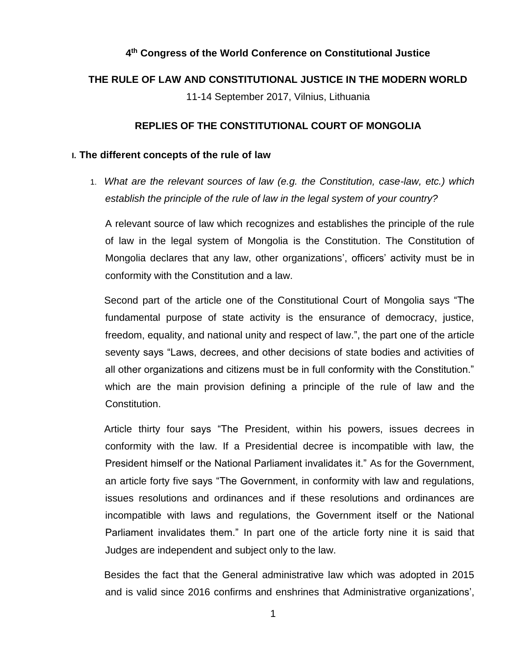# **4 th Congress of the World Conference on Constitutional Justice**

# **THE RULE OF LAW AND CONSTITUTIONAL JUSTICE IN THE MODERN WORLD**

11-14 September 2017, Vilnius, Lithuania

## **REPLIES OF THE CONSTITUTIONAL COURT OF MONGOLIA**

## **I. The different concepts of the rule of law**

1. *What are the relevant sources of law (e.g. the Constitution, case-law, etc.) which establish the principle of the rule of law in the legal system of your country?*

A relevant source of law which recognizes and establishes the principle of the rule of law in the legal system of Mongolia is the Constitution. The Constitution of Mongolia declares that any law, other organizations', officers' activity must be in conformity with the Constitution and a law.

Second part of the article one of the Constitutional Court of Mongolia says "The fundamental purpose of state activity is the ensurance of democracy, justice, freedom, equality, and national unity and respect of law.", the part one of the article seventy says "Laws, decrees, and other decisions of state bodies and activities of all other organizations and citizens must be in full conformity with the Constitution." which are the main provision defining a principle of the rule of law and the Constitution.

Article thirty four says "The President, within his powers, issues decrees in conformity with the law. If a Presidential decree is incompatible with law, the President himself or the National Parliament invalidates it." As for the Government, an article forty five says "The Government, in conformity with law and regulations, issues resolutions and ordinances and if these resolutions and ordinances are incompatible with laws and regulations, the Government itself or the National Parliament invalidates them." In part one of the article forty nine it is said that Judges are independent and subject only to the law.

Besides the fact that the General administrative law which was adopted in 2015 and is valid since 2016 confirms and enshrines that Administrative organizations',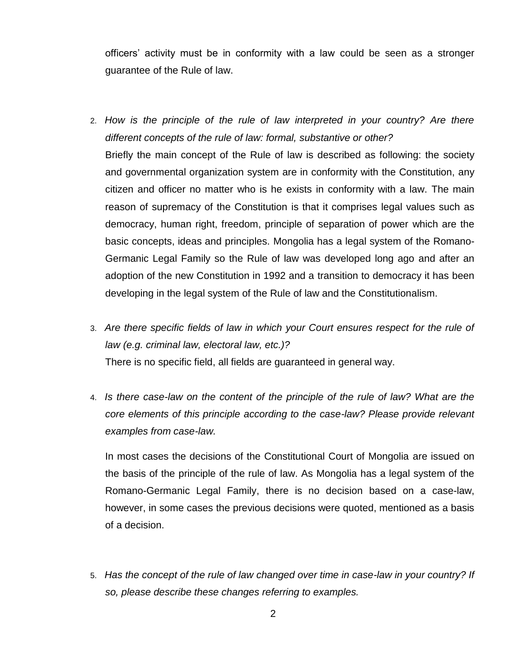officers' activity must be in conformity with a law could be seen as a stronger guarantee of the Rule of law.

- 2. *How is the principle of the rule of law interpreted in your country? Are there different concepts of the rule of law: formal, substantive or other?* Briefly the main concept of the Rule of law is described as following: the society and governmental organization system are in conformity with the Constitution, any citizen and officer no matter who is he exists in conformity with a law. The main reason of supremacy of the Constitution is that it comprises legal values such as democracy, human right, freedom, principle of separation of power which are the basic concepts, ideas and principles. Mongolia has a legal system of the Romano-Germanic Legal Family so the Rule of law was developed long ago and after an adoption of the new Constitution in 1992 and a transition to democracy it has been developing in the legal system of the Rule of law and the Constitutionalism.
- 3. *Are there specific fields of law in which your Court ensures respect for the rule of law (e.g. criminal law, electoral law, etc.)?* There is no specific field, all fields are guaranteed in general way.
- 4. *Is there case-law on the content of the principle of the rule of law? What are the core elements of this principle according to the case-law? Please provide relevant examples from case-law.*

In most cases the decisions of the Constitutional Court of Mongolia are issued on the basis of the principle of the rule of law. As Mongolia has a legal system of the Romano-Germanic Legal Family, there is no decision based on a case-law, however, in some cases the previous decisions were quoted, mentioned as a basis of a decision.

5. *Has the concept of the rule of law changed over time in case-law in your country? If so, please describe these changes referring to examples.*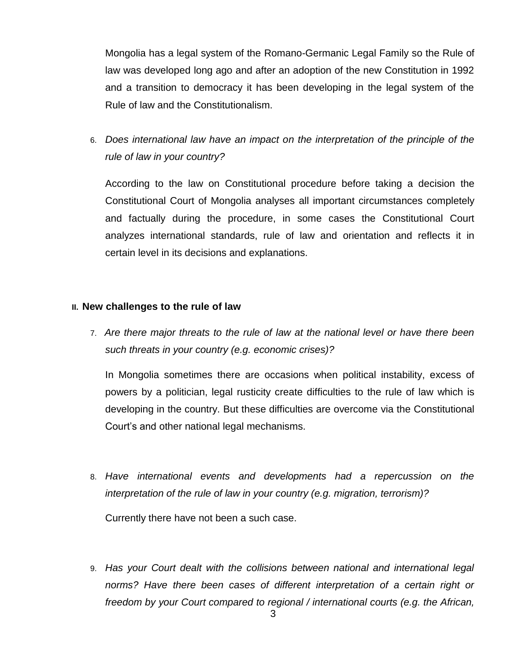Mongolia has a legal system of the Romano-Germanic Legal Family so the Rule of law was developed long ago and after an adoption of the new Constitution in 1992 and a transition to democracy it has been developing in the legal system of the Rule of law and the Constitutionalism.

6. *Does international law have an impact on the interpretation of the principle of the rule of law in your country?*

According to the law on Constitutional procedure before taking a decision the Constitutional Court of Mongolia analyses all important circumstances completely and factually during the procedure, in some cases the Constitutional Court analyzes international standards, rule of law and orientation and reflects it in certain level in its decisions and explanations.

## **II. New challenges to the rule of law**

7. *Are there major threats to the rule of law at the national level or have there been such threats in your country (e.g. economic crises)?*

In Mongolia sometimes there are occasions when political instability, excess of powers by a politician, legal rusticity create difficulties to the rule of law which is developing in the country. But these difficulties are overcome via the Constitutional Court's and other national legal mechanisms.

8. *Have international events and developments had a repercussion on the interpretation of the rule of law in your country (e.g. migration, terrorism)?*

Currently there have not been a such case.

9. *Has your Court dealt with the collisions between national and international legal norms? Have there been cases of different interpretation of a certain right or freedom by your Court compared to regional / international courts (e.g. the African,*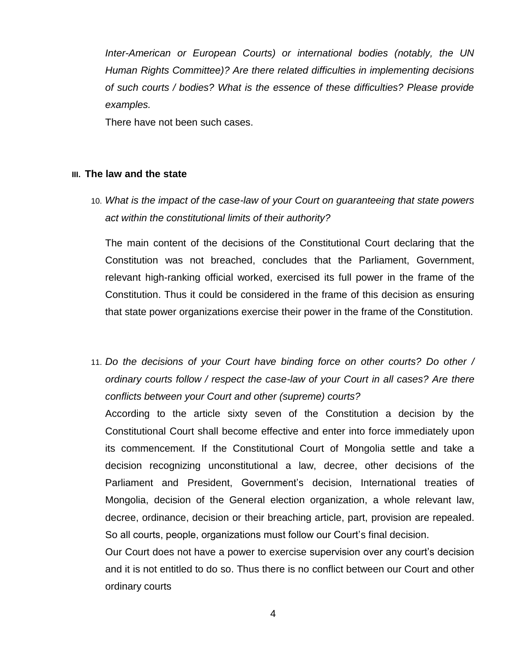*Inter-American or European Courts) or international bodies (notably, the UN Human Rights Committee)? Are there related difficulties in implementing decisions of such courts / bodies? What is the essence of these difficulties? Please provide examples.*

There have not been such cases.

### **III. The law and the state**

10. *What is the impact of the case-law of your Court on guaranteeing that state powers act within the constitutional limits of their authority?*

The main content of the decisions of the Constitutional Court declaring that the Constitution was not breached, concludes that the Parliament, Government, relevant high-ranking official worked, exercised its full power in the frame of the Constitution. Thus it could be considered in the frame of this decision as ensuring that state power organizations exercise their power in the frame of the Constitution.

11. *Do the decisions of your Court have binding force on other courts? Do other / ordinary courts follow / respect the case-law of your Court in all cases? Are there conflicts between your Court and other (supreme) courts?*

According to the article sixty seven of the Constitution a decision by the Constitutional Court shall become effective and enter into force immediately upon its commencement. If the Constitutional Court of Mongolia settle and take a decision recognizing unconstitutional a law, decree, other decisions of the Parliament and President, Government's decision, International treaties of Mongolia, decision of the General election organization, a whole relevant law, decree, ordinance, decision or their breaching article, part, provision are repealed. So all courts, people, organizations must follow our Court's final decision.

Our Court does not have a power to exercise supervision over any court's decision and it is not entitled to do so. Thus there is no conflict between our Court and other ordinary courts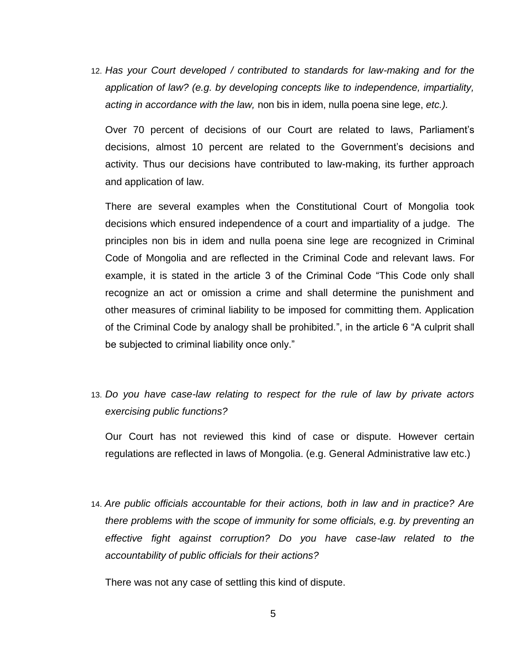12. *Has your Court developed / contributed to standards for law-making and for the application of law? (e.g. by developing concepts like to independence, impartiality, acting in accordance with the law,* non bis in idem, nulla poena sine lege, *etc.).*

Over 70 percent of decisions of our Court are related to laws, Parliament's decisions, almost 10 percent are related to the Government's decisions and activity. Thus our decisions have contributed to law-making, its further approach and application of law.

There are several examples when the Constitutional Court of Mongolia took decisions which ensured independence of a court and impartiality of a judge. The principles non bis in idem and nulla poena sine lege are recognized in Criminal Code of Mongolia and are reflected in the Criminal Code and relevant laws. For example, it is stated in the article 3 of the Criminal Code "This Code only shall recognize an act or omission a crime and shall determine the punishment and other measures of criminal liability to be imposed for committing them. Application of the Criminal Code by analogy shall be prohibited.", in the article 6 "A culprit shall be subjected to criminal liability once only."

13. *Do you have case-law relating to respect for the rule of law by private actors exercising public functions?*

Our Court has not reviewed this kind of case or dispute. However certain regulations are reflected in laws of Mongolia. (e.g. General Administrative law etc.)

14. *Are public officials accountable for their actions, both in law and in practice? Are there problems with the scope of immunity for some officials, e.g. by preventing an effective fight against corruption? Do you have case-law related to the accountability of public officials for their actions?*

There was not any case of settling this kind of dispute.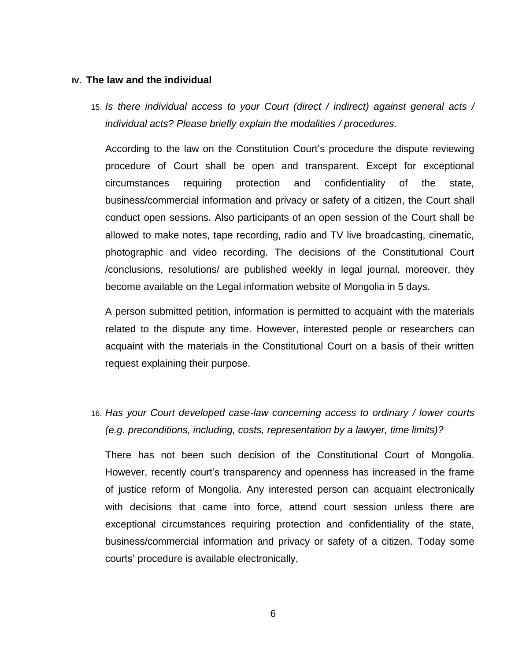#### **IV. The law and the individual**

15. *Is there individual access to your Court (direct / indirect) against general acts / individual acts? Please briefly explain the modalities / procedures.*

According to the law on the Constitution Court's procedure the dispute reviewing procedure of Court shall be open and transparent. Except for exceptional circumstances requiring protection and confidentiality of the state, business/commercial information and privacy or safety of a citizen, the Court shall conduct open sessions. Also participants of an open session of the Court shall be allowed to make notes, tape recording, radio and TV live broadcasting, cinematic, photographic and video recording. The decisions of the Constitutional Court /conclusions, resolutions/ are published weekly in legal journal, moreover, they become available on the Legal information website of Mongolia in 5 days.

A person submitted petition, information is permitted to acquaint with the materials related to the dispute any time. However, interested people or researchers can acquaint with the materials in the Constitutional Court on a basis of their written request explaining their purpose.

16. *Has your Court developed case-law concerning access to ordinary / lower courts (e.g. preconditions, including, costs, representation by a lawyer, time limits)?*

There has not been such decision of the Constitutional Court of Mongolia. However, recently court's transparency and openness has increased in the frame of justice reform of Mongolia. Any interested person can acquaint electronically with decisions that came into force, attend court session unless there are exceptional circumstances requiring protection and confidentiality of the state, business/commercial information and privacy or safety of a citizen. Today some courts' procedure is available electronically,